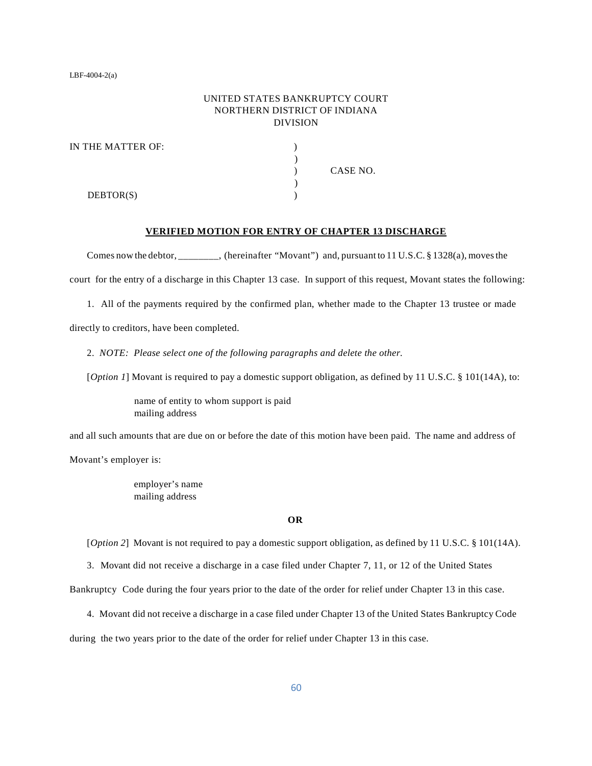# UNITED STATES BANKRUPTCY COURT NORTHERN DISTRICT OF INDIANA DIVISION

| IN THE MATTER OF: |          |
|-------------------|----------|
|                   |          |
|                   | CASE NO. |
|                   |          |
| DEBTOR(S)         |          |

#### **VERIFIED MOTION FOR ENTRY OF CHAPTER 13 DISCHARGE**

Comes now the debtor, \_\_\_\_\_\_\_, (hereinafter "Movant") and, pursuant to 11 U.S.C. § 1328(a), moves the

court for the entry of a discharge in this Chapter 13 case. In support of this request, Movant states the following:

1. All of the payments required by the confirmed plan, whether made to the Chapter 13 trustee or made

directly to creditors, have been completed.

2. *NOTE: Please select one of the following paragraphs and delete the other.*

[*Option 1*] Movant is required to pay a domestic support obligation, as defined by 11 U.S.C. § 101(14A), to:

name of entity to whom support is paid mailing address

and all such amounts that are due on or before the date of this motion have been paid. The name and address of Movant's employer is:

employer's name

mailing address

#### **OR**

[*Option* 2] Movant is not required to pay a domestic support obligation, as defined by 11 U.S.C. § 101(14A).

3. Movant did not receive a discharge in a case filed under Chapter 7, 11, or 12 of the United States

Bankruptcy Code during the four years prior to the date of the order for relief under Chapter 13 in this case.

4. Movant did not receive a discharge in a case filed under Chapter 13 of the United States Bankruptcy Code

during the two years prior to the date of the order for relief under Chapter 13 in this case.